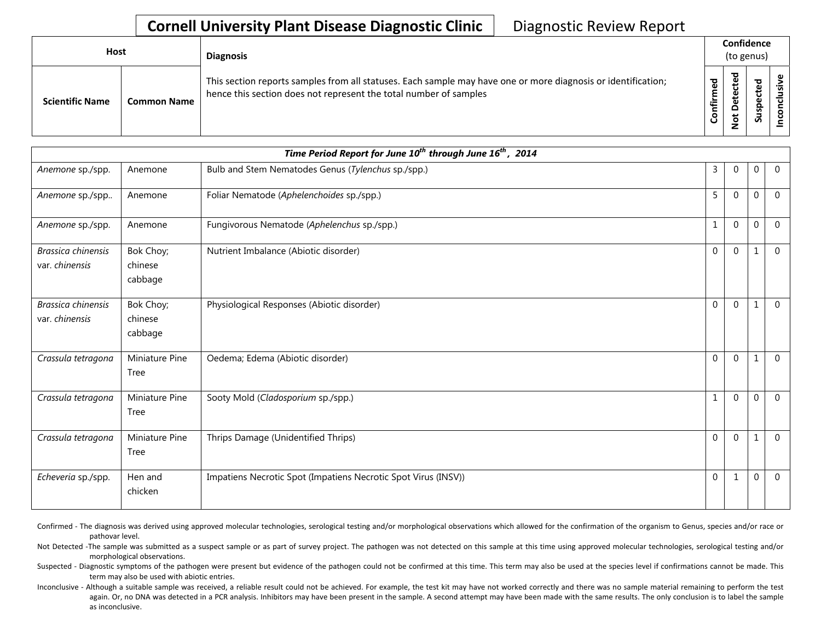| <b>Host</b>            |                    | <b>Diagnosis</b>                                                                                                                                                                   |                     | Confidence<br>(to genus)      |                                                   |  |  |  |
|------------------------|--------------------|------------------------------------------------------------------------------------------------------------------------------------------------------------------------------------|---------------------|-------------------------------|---------------------------------------------------|--|--|--|
| <b>Scientific Name</b> | <b>Common Name</b> | This section reports samples from all statuses. Each sample may have one or more diagnosis or identification;<br>hence this section does not represent the total number of samples | ᅙ<br>٤<br>nfir<br>ပ | ъ<br>ഋ<br>ഋ<br>۵<br>$\dot{S}$ | ᠊ᢦ<br>உ<br>ں<br>$\mathbf \omega$<br><b>g</b><br>n |  |  |  |

| Time Period Report for June 10 <sup>th</sup> through June 16 <sup>th</sup> , 2014 |                                 |                                                                |                |              |             |                |  |  |  |
|-----------------------------------------------------------------------------------|---------------------------------|----------------------------------------------------------------|----------------|--------------|-------------|----------------|--|--|--|
| Anemone sp./spp.                                                                  | Anemone                         | Bulb and Stem Nematodes Genus (Tylenchus sp./spp.)             | 3              | $\mathbf 0$  | $\mathbf 0$ | $\overline{0}$ |  |  |  |
| Anemone sp./spp                                                                   | Anemone                         | Foliar Nematode (Aphelenchoides sp./spp.)                      | 5              | $\Omega$     | $\mathbf 0$ | $\mathbf{0}$   |  |  |  |
| Anemone sp./spp.                                                                  | Anemone                         | Fungivorous Nematode (Aphelenchus sp./spp.)                    | $\mathbf{1}$   | $\mathbf 0$  | $\mathbf 0$ | $\mathbf 0$    |  |  |  |
| Brassica chinensis<br>var. chinensis                                              | Bok Choy;<br>chinese<br>cabbage | Nutrient Imbalance (Abiotic disorder)                          | $\overline{0}$ | $\mathbf{0}$ | 1           | $\overline{0}$ |  |  |  |
| Brassica chinensis<br>var. chinensis                                              | Bok Choy;<br>chinese<br>cabbage | Physiological Responses (Abiotic disorder)                     | $\Omega$       | $\Omega$     | 1           | $\overline{0}$ |  |  |  |
| Crassula tetragona                                                                | Miniature Pine<br>Tree          | Oedema; Edema (Abiotic disorder)                               | $\mathbf 0$    | $\mathbf 0$  | 1           | $\overline{0}$ |  |  |  |
| Crassula tetragona                                                                | Miniature Pine<br>Tree          | Sooty Mold (Cladosporium sp./spp.)                             | $\mathbf{1}$   | $\Omega$     | $\mathbf 0$ | $\mathbf{0}$   |  |  |  |
| Crassula tetragona                                                                | Miniature Pine<br>Tree          | Thrips Damage (Unidentified Thrips)                            | $\mathbf{0}$   | $\mathbf{0}$ | 1           | $\mathbf{0}$   |  |  |  |
| Echeveria sp./spp.                                                                | Hen and<br>chicken              | Impatiens Necrotic Spot (Impatiens Necrotic Spot Virus (INSV)) | $\mathbf{0}$   | 1            | $\mathbf 0$ | $\mathbf{0}$   |  |  |  |

Confirmed - The diagnosis was derived using approved molecular technologies, serological testing and/or morphological observations which allowed for the confirmation of the organism to Genus, species and/or race or pathovar level.

Not Detected -The sample was submitted as a suspect sample or as part of survey project. The pathogen was not detected on this sample at this time using approved molecular technologies, serological testing and/or morphological observations.

Suspected - Diagnostic symptoms of the pathogen were present but evidence of the pathogen could not be confirmed at this time. This term may also be used at the species level if confirmations cannot be made. This term may also be used with abiotic entries.

Inconclusive - Although a suitable sample was received, a reliable result could not be achieved. For example, the test kit may have not worked correctly and there was no sample material remaining to perform the test again. Or, no DNA was detected in a PCR analysis. Inhibitors may have been present in the sample. A second attempt may have been made with the same results. The only conclusion is to label the sample as inconclusive.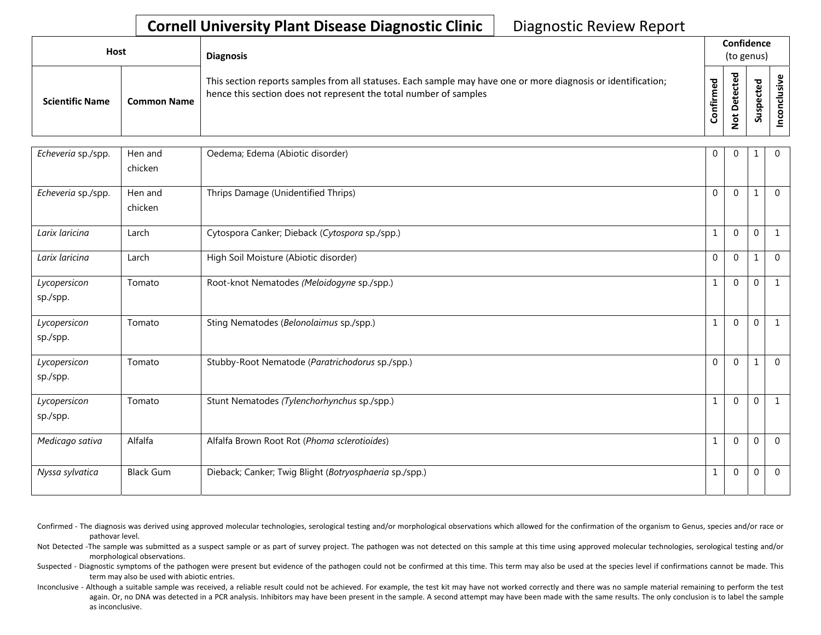| Host                   |                    | <b>Diagnosis</b>                                                                                                                                                                   |                      |                         | Confidence<br>(to genus) |  |
|------------------------|--------------------|------------------------------------------------------------------------------------------------------------------------------------------------------------------------------------|----------------------|-------------------------|--------------------------|--|
| <b>Scientific Name</b> | <b>Common Name</b> | This section reports samples from all statuses. Each sample may have one or more diagnosis or identification;<br>hence this section does not represent the total number of samples | ි<br>ම<br>Ě<br>onfir | ਠ<br>پ<br>t<br><u>g</u> | ъ<br>∍<br>S              |  |

| Echeveria sp./spp.       | Hen and<br>chicken | Oedema; Edema (Abiotic disorder)                       | $\mathbf 0$  | $\Omega$       | 1           | $\mathbf{0}$ |
|--------------------------|--------------------|--------------------------------------------------------|--------------|----------------|-------------|--------------|
| Echeveria sp./spp.       | Hen and<br>chicken | Thrips Damage (Unidentified Thrips)                    | $\mathbf 0$  | $\Omega$       |             | $\Omega$     |
| Larix laricina           | Larch              | Cytospora Canker; Dieback (Cytospora sp./spp.)         | $\mathbf{1}$ | $\mathbf 0$    | $\mathbf 0$ | $\mathbf{1}$ |
| Larix laricina           | Larch              | High Soil Moisture (Abiotic disorder)                  | $\mathbf{0}$ | $\overline{0}$ | 1           | $\Omega$     |
| Lycopersicon<br>sp./spp. | Tomato             | Root-knot Nematodes (Meloidogyne sp./spp.)             | $\mathbf{1}$ | $\mathbf 0$    | $\mathbf 0$ |              |
| Lycopersicon<br>sp./spp. | Tomato             | Sting Nematodes (Belonolaimus sp./spp.)                | $\mathbf{1}$ | $\overline{0}$ | $\Omega$    | $\mathbf{1}$ |
| Lycopersicon<br>sp./spp. | Tomato             | Stubby-Root Nematode (Paratrichodorus sp./spp.)        | $\mathbf{0}$ | $\overline{0}$ | 1           | $\Omega$     |
| Lycopersicon<br>sp./spp. | Tomato             | Stunt Nematodes (Tylenchorhynchus sp./spp.)            | $\mathbf{1}$ | $\mathbf 0$    | $\mathbf 0$ | $\mathbf{1}$ |
| Medicago sativa          | Alfalfa            | Alfalfa Brown Root Rot (Phoma sclerotioides)           | $\mathbf{1}$ | $\overline{0}$ | $\mathbf 0$ | $\Omega$     |
| Nyssa sylvatica          | <b>Black Gum</b>   | Dieback; Canker; Twig Blight (Botryosphaeria sp./spp.) | $\mathbf 1$  | $\mathbf 0$    | $\mathbf 0$ | $\Omega$     |

- Confirmed The diagnosis was derived using approved molecular technologies, serological testing and/or morphological observations which allowed for the confirmation of the organism to Genus, species and/or race or pathovar level.
- Not Detected -The sample was submitted as a suspect sample or as part of survey project. The pathogen was not detected on this sample at this time using approved molecular technologies, serological testing and/or morphological observations.
- Suspected Diagnostic symptoms of the pathogen were present but evidence of the pathogen could not be confirmed at this time. This term may also be used at the species level if confirmations cannot be made. This term may also be used with abiotic entries.
- Inconclusive Although a suitable sample was received, a reliable result could not be achieved. For example, the test kit may have not worked correctly and there was no sample material remaining to perform the test again. Or, no DNA was detected in a PCR analysis. Inhibitors may have been present in the sample. A second attempt may have been made with the same results. The only conclusion is to label the sample as inconclusive.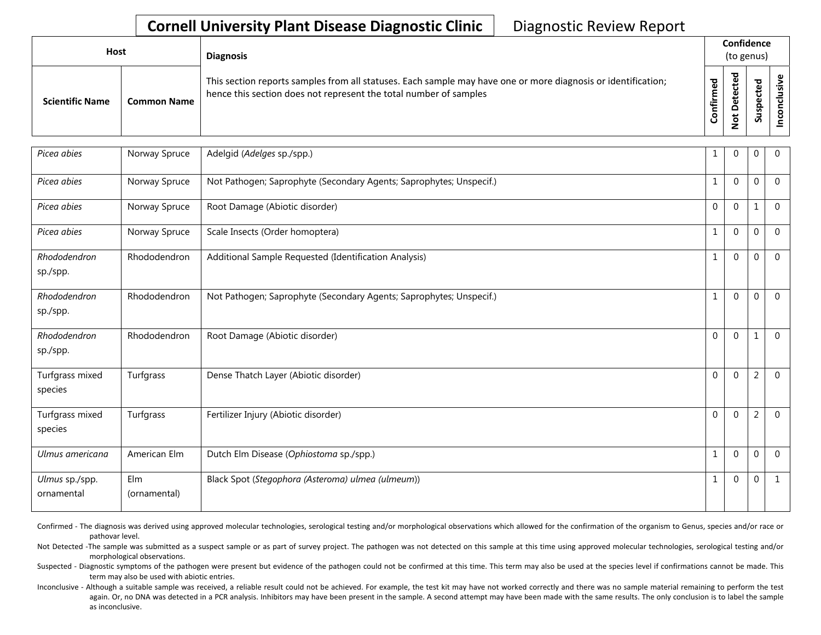| <b>Host</b>            |                    | <b>Diagnosis</b>                                                                                                                                                                   |                     | Confidence<br>(to genus)              |                     |  |  |  |
|------------------------|--------------------|------------------------------------------------------------------------------------------------------------------------------------------------------------------------------------|---------------------|---------------------------------------|---------------------|--|--|--|
| <b>Scientific Name</b> | <b>Common Name</b> | This section reports samples from all statuses. Each sample may have one or more diagnosis or identification;<br>hence this section does not represent the total number of samples | ᅙ<br>Ē.<br>۴Ì٢<br>ပ | ᇃ<br>ق<br>ں<br>ይ<br>۵υ<br>۵<br>t<br>౸ | ਠ<br>₽<br>ن<br>Susp |  |  |  |

| Picea abies                  | Norway Spruce       | Adelgid (Adelges sp./spp.)                                          | 1              | $\mathbf{0}$ | $\mathbf 0$    | $\mathbf{0}$   |
|------------------------------|---------------------|---------------------------------------------------------------------|----------------|--------------|----------------|----------------|
| Picea abies                  | Norway Spruce       | Not Pathogen; Saprophyte (Secondary Agents; Saprophytes; Unspecif.) | $\mathbf{1}$   | $\mathbf{0}$ | $\mathbf 0$    | $\overline{0}$ |
| Picea abies                  | Norway Spruce       | Root Damage (Abiotic disorder)                                      | $\overline{0}$ | $\mathbf 0$  | 1              | $\overline{0}$ |
| Picea abies                  | Norway Spruce       | Scale Insects (Order homoptera)                                     | $\mathbf{1}$   | $\mathbf{0}$ | $\mathbf 0$    | $\mathbf 0$    |
| Rhododendron<br>sp./spp.     | Rhododendron        | Additional Sample Requested (Identification Analysis)               | $\mathbf{1}$   | $\mathbf 0$  | $\mathbf 0$    | $\overline{0}$ |
| Rhododendron<br>sp./spp.     | Rhododendron        | Not Pathogen; Saprophyte (Secondary Agents; Saprophytes; Unspecif.) | 1              | $\Omega$     | $\mathbf 0$    | $\overline{0}$ |
| Rhododendron<br>sp./spp.     | Rhododendron        | Root Damage (Abiotic disorder)                                      | $\mathbf{0}$   | $\mathbf{0}$ | 1              | $\mathbf{0}$   |
| Turfgrass mixed<br>species   | Turfgrass           | Dense Thatch Layer (Abiotic disorder)                               | $\overline{0}$ | $\Omega$     | $\overline{2}$ | $\mathbf 0$    |
| Turfgrass mixed<br>species   | Turfgrass           | Fertilizer Injury (Abiotic disorder)                                | $\Omega$       | $\Omega$     | $\overline{2}$ | $\mathbf 0$    |
| Ulmus americana              | American Elm        | Dutch Elm Disease (Ophiostoma sp./spp.)                             | $\mathbf{1}$   | $\mathbf{0}$ | $\mathbf 0$    | $\mathbf{0}$   |
| Ulmus sp./spp.<br>ornamental | Elm<br>(ornamental) | Black Spot (Stegophora (Asteroma) ulmea (ulmeum))                   |                | $\mathbf 0$  | $\mathbf 0$    | $\mathbf{1}$   |

Confirmed - The diagnosis was derived using approved molecular technologies, serological testing and/or morphological observations which allowed for the confirmation of the organism to Genus, species and/or race or pathovar level.

Not Detected -The sample was submitted as a suspect sample or as part of survey project. The pathogen was not detected on this sample at this time using approved molecular technologies, serological testing and/or morphological observations.

Suspected - Diagnostic symptoms of the pathogen were present but evidence of the pathogen could not be confirmed at this time. This term may also be used at the species level if confirmations cannot be made. This term may also be used with abiotic entries.

Inconclusive - Although a suitable sample was received, a reliable result could not be achieved. For example, the test kit may have not worked correctly and there was no sample material remaining to perform the test again. Or, no DNA was detected in a PCR analysis. Inhibitors may have been present in the sample. A second attempt may have been made with the same results. The only conclusion is to label the sample as inconclusive.